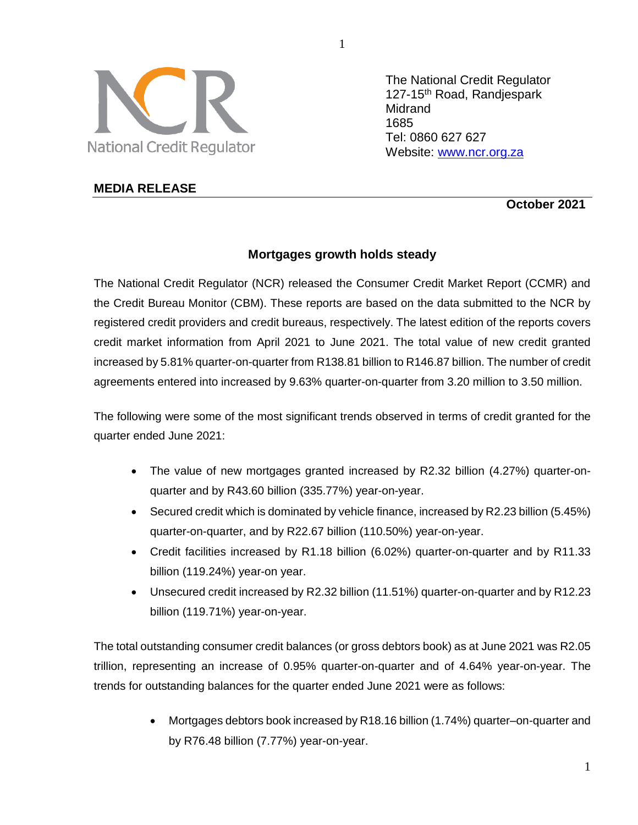

The National Credit Regulator 127-15th Road, Randjespark Midrand 1685 Tel: 0860 627 627 Website: [www.ncr.org.za](http://www.ncr.org.za/)

## **MEDIA RELEASE**

**October 2021**

# **Mortgages growth holds steady**

The National Credit Regulator (NCR) released the Consumer Credit Market Report (CCMR) and the Credit Bureau Monitor (CBM). These reports are based on the data submitted to the NCR by registered credit providers and credit bureaus, respectively. The latest edition of the reports covers credit market information from April 2021 to June 2021. The total value of new credit granted increased by 5.81% quarter-on-quarter from R138.81 billion to R146.87 billion. The number of credit agreements entered into increased by 9.63% quarter-on-quarter from 3.20 million to 3.50 million.

The following were some of the most significant trends observed in terms of credit granted for the quarter ended June 2021:

- The value of new mortgages granted increased by R2.32 billion (4.27%) quarter-onquarter and by R43.60 billion (335.77%) year-on-year.
- Secured credit which is dominated by vehicle finance, increased by R2.23 billion (5.45%) quarter-on-quarter, and by R22.67 billion (110.50%) year-on-year.
- Credit facilities increased by R1.18 billion (6.02%) quarter-on-quarter and by R11.33 billion (119.24%) year-on year.
- Unsecured credit increased by R2.32 billion (11.51%) quarter-on-quarter and by R12.23 billion (119.71%) year-on-year.

The total outstanding consumer credit balances (or gross debtors book) as at June 2021 was R2.05 trillion, representing an increase of 0.95% quarter-on-quarter and of 4.64% year-on-year. The trends for outstanding balances for the quarter ended June 2021 were as follows:

> Mortgages debtors book increased by R18.16 billion (1.74%) quarter–on-quarter and by R76.48 billion (7.77%) year-on-year.

1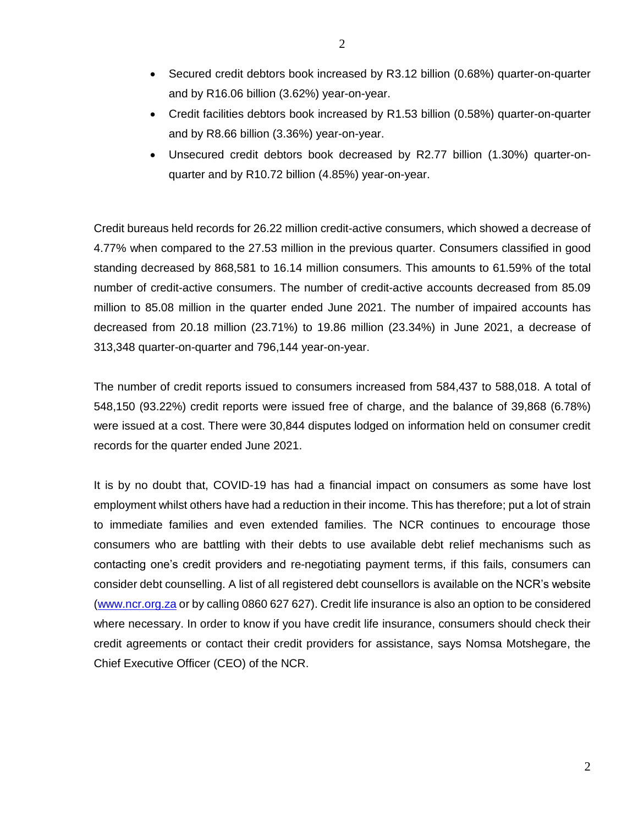- Secured credit debtors book increased by R3.12 billion (0.68%) quarter-on-quarter and by R16.06 billion (3.62%) year-on-year.
- Credit facilities debtors book increased by R1.53 billion (0.58%) quarter-on-quarter and by R8.66 billion (3.36%) year-on-year.
- Unsecured credit debtors book decreased by R2.77 billion (1.30%) quarter-onquarter and by R10.72 billion (4.85%) year-on-year.

Credit bureaus held records for 26.22 million credit-active consumers, which showed a decrease of 4.77% when compared to the 27.53 million in the previous quarter. Consumers classified in good standing decreased by 868,581 to 16.14 million consumers. This amounts to 61.59% of the total number of credit-active consumers. The number of credit-active accounts decreased from 85.09 million to 85.08 million in the quarter ended June 2021. The number of impaired accounts has decreased from 20.18 million (23.71%) to 19.86 million (23.34%) in June 2021, a decrease of 313,348 quarter-on-quarter and 796,144 year-on-year.

The number of credit reports issued to consumers increased from 584,437 to 588,018. A total of 548,150 (93.22%) credit reports were issued free of charge, and the balance of 39,868 (6.78%) were issued at a cost. There were 30,844 disputes lodged on information held on consumer credit records for the quarter ended June 2021.

It is by no doubt that, COVID-19 has had a financial impact on consumers as some have lost employment whilst others have had a reduction in their income. This has therefore; put a lot of strain to immediate families and even extended families. The NCR continues to encourage those consumers who are battling with their debts to use available debt relief mechanisms such as contacting one's credit providers and re-negotiating payment terms, if this fails, consumers can consider debt counselling. A list of all registered debt counsellors is available on the NCR's website [\(www.ncr.org.za](http://www.ncr.org.za/) or by calling 0860 627 627). Credit life insurance is also an option to be considered where necessary. In order to know if you have credit life insurance, consumers should check their credit agreements or contact their credit providers for assistance, says Nomsa Motshegare, the Chief Executive Officer (CEO) of the NCR.